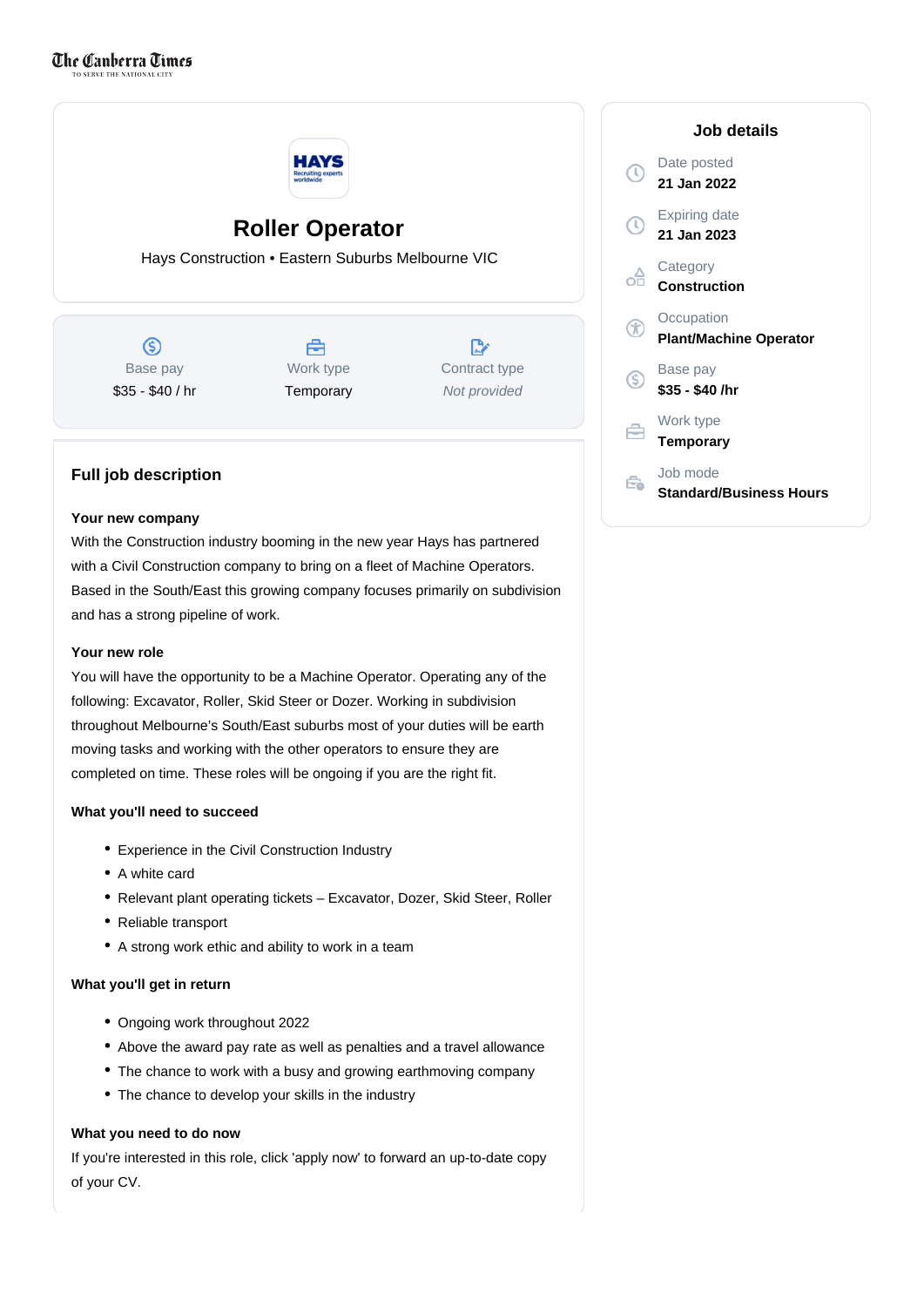

# **Roller Operator**

Hays Construction • Eastern Suburbs Melbourne VIC

 $\circledS$ Base pay \$35 - \$40 / hr

## 合 Work type **Temporary**

D. Contract type Not provided

### **Full job description**

#### **Your new company**

With the Construction industry booming in the new year Hays has partnered with a Civil Construction company to bring on a fleet of Machine Operators. Based in the South/East this growing company focuses primarily on subdivision and has a strong pipeline of work.

#### **Your new role**

You will have the opportunity to be a Machine Operator. Operating any of the following: Excavator, Roller, Skid Steer or Dozer. Working in subdivision throughout Melbourne's South/East suburbs most of your duties will be earth moving tasks and working with the other operators to ensure they are completed on time. These roles will be ongoing if you are the right fit.

#### **What you'll need to succeed**

- Experience in the Civil Construction Industry
- A white card
- Relevant plant operating tickets Excavator, Dozer, Skid Steer, Roller
- Reliable transport
- A strong work ethic and ability to work in a team

#### **What you'll get in return**

- Ongoing work throughout 2022
- Above the award pay rate as well as penalties and a travel allowance
- The chance to work with a busy and growing earthmoving company
- The chance to develop your skills in the industry

#### **What you need to do now**

If you're interested in this role, click 'apply now' to forward an up-to-date copy of your CV.

|             | Job details                                 |
|-------------|---------------------------------------------|
| $\mathbb C$ | Date posted<br>21 Jan 2022                  |
|             | <b>Expiring date</b><br>21 Jan 2023         |
|             | Category<br><b>Construction</b>             |
|             | Occupation<br><b>Plant/Machine Operator</b> |
| (\$)        | Base pay<br>\$35 - \$40 /hr                 |
|             | Work type<br><b>Temporary</b>               |
|             | Job mode<br>Standard/Business Hours         |